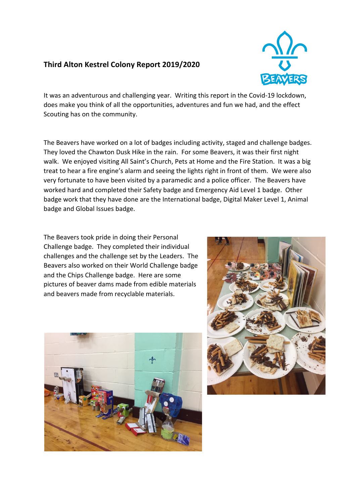## **Third Alton Kestrel Colony Report 2019/2020**



It was an adventurous and challenging year. Writing this report in the Covid-19 lockdown, does make you think of all the opportunities, adventures and fun we had, and the effect Scouting has on the community.

The Beavers have worked on a lot of badges including activity, staged and challenge badges. They loved the Chawton Dusk Hike in the rain. For some Beavers, it was their first night walk. We enjoyed visiting All Saint's Church, Pets at Home and the Fire Station. It was a big treat to hear a fire engine's alarm and seeing the lights right in front of them. We were also very fortunate to have been visited by a paramedic and a police officer. The Beavers have worked hard and completed their Safety badge and Emergency Aid Level 1 badge. Other badge work that they have done are the International badge, Digital Maker Level 1, Animal badge and Global Issues badge.

The Beavers took pride in doing their Personal Challenge badge. They completed their individual challenges and the challenge set by the Leaders. The Beavers also worked on their World Challenge badge and the Chips Challenge badge. Here are some pictures of beaver dams made from edible materials and beavers made from recyclable materials.